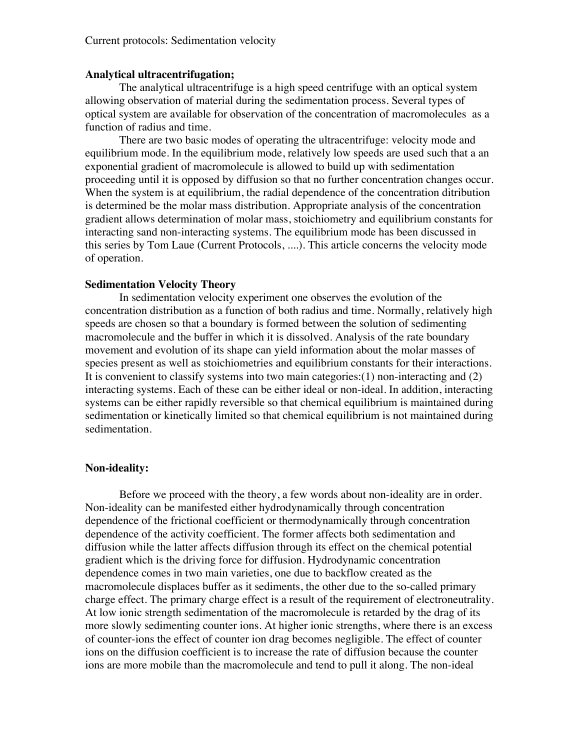#### **Analytical ultracentrifugation;**

The analytical ultracentrifuge is a high speed centrifuge with an optical system allowing observation of material during the sedimentation process. Several types of optical system are available for observation of the concentration of macromolecules as a function of radius and time.

There are two basic modes of operating the ultracentrifuge: velocity mode and equilibrium mode. In the equilibrium mode, relatively low speeds are used such that a an exponential gradient of macromolecule is allowed to build up with sedimentation proceeding until it is opposed by diffusion so that no further concentration changes occur. When the system is at equilibrium, the radial dependence of the concentration ditribution is determined be the molar mass distribution. Appropriate analysis of the concentration gradient allows determination of molar mass, stoichiometry and equilibrium constants for interacting sand non-interacting systems. The equilibrium mode has been discussed in this series by Tom Laue (Current Protocols, ....). This article concerns the velocity mode of operation.

#### **Sedimentation Velocity Theory**

In sedimentation velocity experiment one observes the evolution of the concentration distribution as a function of both radius and time. Normally, relatively high speeds are chosen so that a boundary is formed between the solution of sedimenting macromolecule and the buffer in which it is dissolved. Analysis of the rate boundary movement and evolution of its shape can yield information about the molar masses of species present as well as stoichiometries and equilibrium constants for their interactions. It is convenient to classify systems into two main categories:(1) non-interacting and (2) interacting systems. Each of these can be either ideal or non-ideal. In addition, interacting systems can be either rapidly reversible so that chemical equilibrium is maintained during sedimentation or kinetically limited so that chemical equilibrium is not maintained during sedimentation.

#### **Non-ideality:**

Before we proceed with the theory, a few words about non-ideality are in order. Non-ideality can be manifested either hydrodynamically through concentration dependence of the frictional coefficient or thermodynamically through concentration dependence of the activity coefficient. The former affects both sedimentation and diffusion while the latter affects diffusion through its effect on the chemical potential gradient which is the driving force for diffusion. Hydrodynamic concentration dependence comes in two main varieties, one due to backflow created as the macromolecule displaces buffer as it sediments, the other due to the so-called primary charge effect. The primary charge effect is a result of the requirement of electroneutrality. At low ionic strength sedimentation of the macromolecule is retarded by the drag of its more slowly sedimenting counter ions. At higher ionic strengths, where there is an excess of counter-ions the effect of counter ion drag becomes negligible. The effect of counter ions on the diffusion coefficient is to increase the rate of diffusion because the counter ions are more mobile than the macromolecule and tend to pull it along. The non-ideal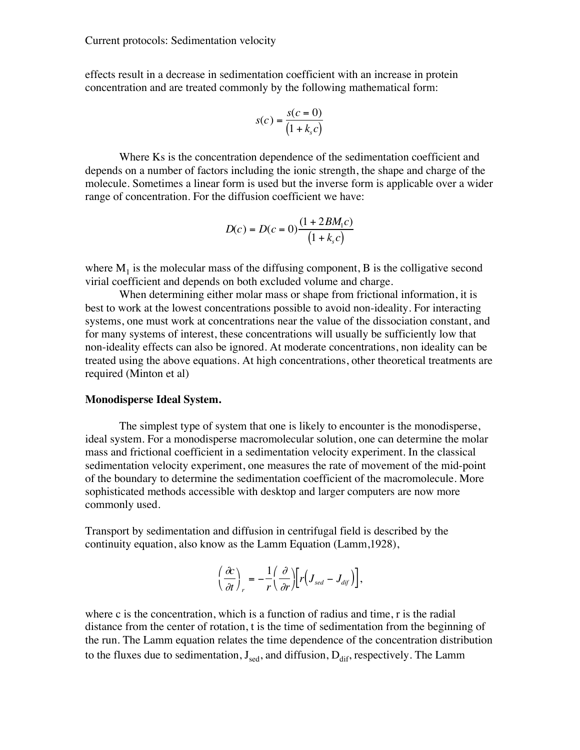effects result in a decrease in sedimentation coefficient with an increase in protein concentration and are treated commonly by the following mathematical form:

$$
s(c) = \frac{s(c=0)}{(1+k_s c)}
$$

Where Ks is the concentration dependence of the sedimentation coefficient and depends on a number of factors including the ionic strength, the shape and charge of the molecule. Sometimes a linear form is used but the inverse form is applicable over a wider range of concentration. For the diffusion coefficient we have:

$$
D(c) = D(c = 0) \frac{(1 + 2BM_1c)}{(1 + k_s c)}
$$

where  $M_1$  is the molecular mass of the diffusing component, B is the colligative second virial coefficient and depends on both excluded volume and charge.

When determining either molar mass or shape from frictional information, it is best to work at the lowest concentrations possible to avoid non-ideality. For interacting systems, one must work at concentrations near the value of the dissociation constant, and for many systems of interest, these concentrations will usually be sufficiently low that non-ideality effects can also be ignored. At moderate concentrations, non ideality can be treated using the above equations. At high concentrations, other theoretical treatments are required (Minton et al)

#### **Monodisperse Ideal System.**

The simplest type of system that one is likely to encounter is the monodisperse, ideal system. For a monodisperse macromolecular solution, one can determine the molar mass and frictional coefficient in a sedimentation velocity experiment. In the classical sedimentation velocity experiment, one measures the rate of movement of the mid-point of the boundary to determine the sedimentation coefficient of the macromolecule. More sophisticated methods accessible with desktop and larger computers are now more commonly used.

Transport by sedimentation and diffusion in centrifugal field is described by the continuity equation, also know as the Lamm Equation (Lamm,1928),

$$
\left(\frac{\partial c}{\partial t}\right)_r = -\frac{1}{r}\left(\frac{\partial}{\partial r}\right)\left[r\left(J_{\text{sed}}-J_{\text{dif}}\right)\right],
$$

where c is the concentration, which is a function of radius and time, r is the radial distance from the center of rotation, t is the time of sedimentation from the beginning of the run. The Lamm equation relates the time dependence of the concentration distribution to the fluxes due to sedimentation,  $J_{\text{sed}}$ , and diffusion,  $D_{\text{dif}}$ , respectively. The Lamm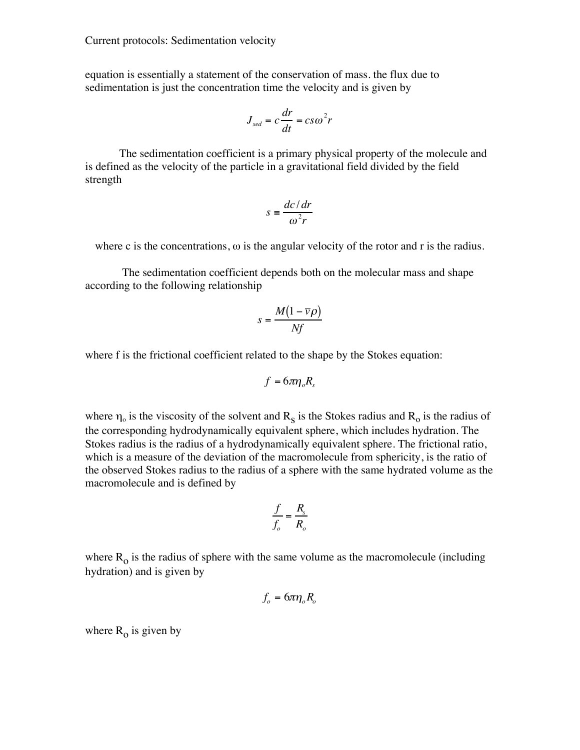equation is essentially a statement of the conservation of mass. the flux due to sedimentation is just the concentration time the velocity and is given by

$$
J_{\rm sed} = c \frac{dr}{dt} = c s \omega^2 r
$$

The sedimentation coefficient is a primary physical property of the molecule and is defined as the velocity of the particle in a gravitational field divided by the field strength

$$
s = \frac{dc/dr}{\omega^2 r}
$$

where c is the concentrations,  $\omega$  is the angular velocity of the rotor and r is the radius.

 The sedimentation coefficient depends both on the molecular mass and shape according to the following relationship

$$
s = \frac{M(1 - \overline{v}\rho)}{Nf}
$$

where f is the frictional coefficient related to the shape by the Stokes equation:

$$
f=6\pi\eta_o R_s
$$

where  $\eta_0$  is the viscosity of the solvent and  $R_s$  is the Stokes radius and  $R_o$  is the radius of the corresponding hydrodynamically equivalent sphere, which includes hydration. The Stokes radius is the radius of a hydrodynamically equivalent sphere. The frictional ratio, which is a measure of the deviation of the macromolecule from sphericity, is the ratio of the observed Stokes radius to the radius of a sphere with the same hydrated volume as the macromolecule and is defined by

$$
\frac{f}{f_o} = \frac{R_s}{R_o}
$$

where  $R_0$  is the radius of sphere with the same volume as the macromolecule (including hydration) and is given by

$$
f_o = 6\pi\eta_o R_o
$$

where  $R_0$  is given by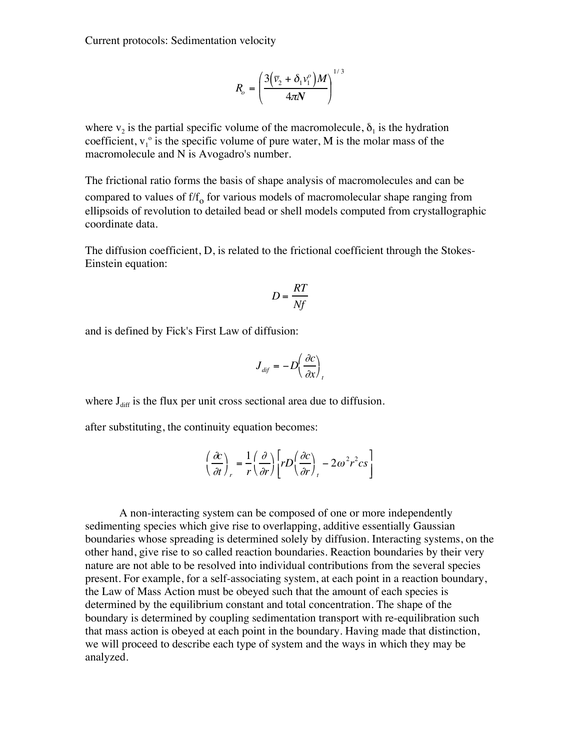$$
R_o = \left(\frac{3(\bar{v}_2 + \delta_1 v_1^o)M}{4\pi N}\right)^{1/3}
$$

where  $v_2$  is the partial specific volume of the macromolecule,  $\delta_1$  is the hydration coefficient,  $v_1^{\circ}$  is the specific volume of pure water, M is the molar mass of the macromolecule and N is Avogadro's number.

The frictional ratio forms the basis of shape analysis of macromolecules and can be compared to values of  $f/f<sub>o</sub>$  for various models of macromolecular shape ranging from ellipsoids of revolution to detailed bead or shell models computed from crystallographic coordinate data.

The diffusion coefficient, D, is related to the frictional coefficient through the Stokes-Einstein equation:

$$
D = \frac{RT}{Nf}
$$

and is defined by Fick's First Law of diffusion:

$$
J_{\text{dif}} = -D\left(\frac{\partial c}{\partial x}\right)_{t}
$$

where  $J_{\text{diff}}$  is the flux per unit cross sectional area due to diffusion.

after substituting, the continuity equation becomes:

$$
\left(\frac{\partial c}{\partial t}\right)_r = \frac{1}{r} \left(\frac{\partial}{\partial r}\right) \left[rD\left(\frac{\partial c}{\partial r}\right)_r - 2\omega^2 r^2 c s\right]
$$

A non-interacting system can be composed of one or more independently sedimenting species which give rise to overlapping, additive essentially Gaussian boundaries whose spreading is determined solely by diffusion. Interacting systems, on the other hand, give rise to so called reaction boundaries. Reaction boundaries by their very nature are not able to be resolved into individual contributions from the several species present. For example, for a self-associating system, at each point in a reaction boundary, the Law of Mass Action must be obeyed such that the amount of each species is determined by the equilibrium constant and total concentration. The shape of the boundary is determined by coupling sedimentation transport with re-equilibration such that mass action is obeyed at each point in the boundary. Having made that distinction, we will proceed to describe each type of system and the ways in which they may be analyzed.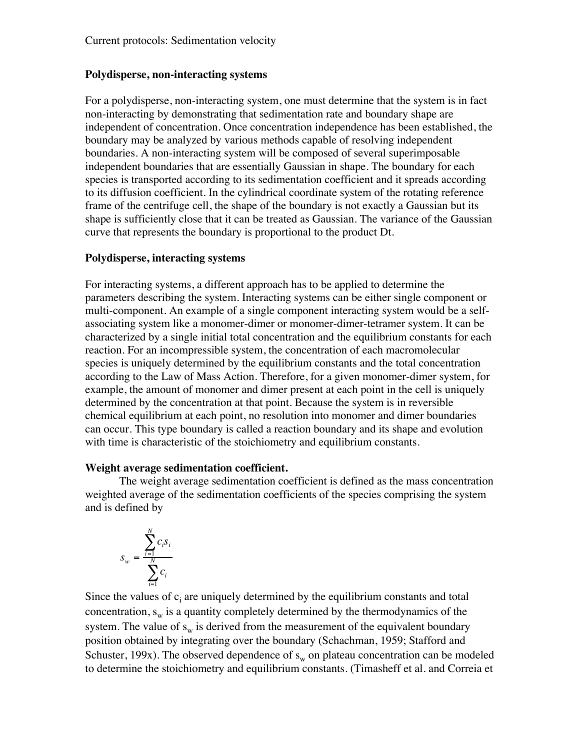## **Polydisperse, non-interacting systems**

For a polydisperse, non-interacting system, one must determine that the system is in fact non-interacting by demonstrating that sedimentation rate and boundary shape are independent of concentration. Once concentration independence has been established, the boundary may be analyzed by various methods capable of resolving independent boundaries. A non-interacting system will be composed of several superimposable independent boundaries that are essentially Gaussian in shape. The boundary for each species is transported according to its sedimentation coefficient and it spreads according to its diffusion coefficient. In the cylindrical coordinate system of the rotating reference frame of the centrifuge cell, the shape of the boundary is not exactly a Gaussian but its shape is sufficiently close that it can be treated as Gaussian. The variance of the Gaussian curve that represents the boundary is proportional to the product Dt.

## **Polydisperse, interacting systems**

For interacting systems, a different approach has to be applied to determine the parameters describing the system. Interacting systems can be either single component or multi-component. An example of a single component interacting system would be a selfassociating system like a monomer-dimer or monomer-dimer-tetramer system. It can be characterized by a single initial total concentration and the equilibrium constants for each reaction. For an incompressible system, the concentration of each macromolecular species is uniquely determined by the equilibrium constants and the total concentration according to the Law of Mass Action. Therefore, for a given monomer-dimer system, for example, the amount of monomer and dimer present at each point in the cell is uniquely determined by the concentration at that point. Because the system is in reversible chemical equilibrium at each point, no resolution into monomer and dimer boundaries can occur. This type boundary is called a reaction boundary and its shape and evolution with time is characteristic of the stoichiometry and equilibrium constants.

### **Weight average sedimentation coefficient.**

The weight average sedimentation coefficient is defined as the mass concentration weighted average of the sedimentation coefficients of the species comprising the system and is defined by

$$
S_w = \frac{\displaystyle\sum_{i=1}^N c_i s_i}{\displaystyle\sum_{i=1}^N c_i}
$$

Since the values of  $c_i$  are uniquely determined by the equilibrium constants and total concentration,  $s_w$  is a quantity completely determined by the thermodynamics of the system. The value of  $s_w$  is derived from the measurement of the equivalent boundary position obtained by integrating over the boundary (Schachman, 1959; Stafford and Schuster, 199x). The observed dependence of  $s_w$  on plateau concentration can be modeled to determine the stoichiometry and equilibrium constants. (Timasheff et al. and Correia et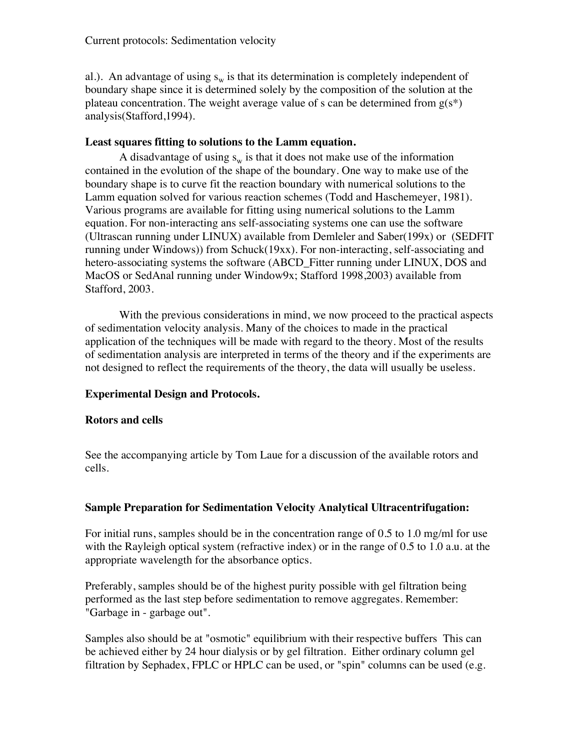al.). An advantage of using  $s_w$  is that its determination is completely independent of boundary shape since it is determined solely by the composition of the solution at the plateau concentration. The weight average value of s can be determined from  $g(s^*)$ analysis(Stafford,1994).

### **Least squares fitting to solutions to the Lamm equation.**

A disadvantage of using  $s_w$  is that it does not make use of the information contained in the evolution of the shape of the boundary. One way to make use of the boundary shape is to curve fit the reaction boundary with numerical solutions to the Lamm equation solved for various reaction schemes (Todd and Haschemeyer, 1981). Various programs are available for fitting using numerical solutions to the Lamm equation. For non-interacting ans self-associating systems one can use the software (Ultrascan running under LINUX) available from Demleler and Saber(199x) or (SEDFIT running under Windows)) from Schuck(19xx). For non-interacting, self-associating and hetero-associating systems the software (ABCD\_Fitter running under LINUX, DOS and MacOS or SedAnal running under Window9x; Stafford 1998,2003) available from Stafford, 2003.

With the previous considerations in mind, we now proceed to the practical aspects of sedimentation velocity analysis. Many of the choices to made in the practical application of the techniques will be made with regard to the theory. Most of the results of sedimentation analysis are interpreted in terms of the theory and if the experiments are not designed to reflect the requirements of the theory, the data will usually be useless.

## **Experimental Design and Protocols.**

### **Rotors and cells**

See the accompanying article by Tom Laue for a discussion of the available rotors and cells.

### **Sample Preparation for Sedimentation Velocity Analytical Ultracentrifugation:**

For initial runs, samples should be in the concentration range of 0.5 to 1.0 mg/ml for use with the Rayleigh optical system (refractive index) or in the range of 0.5 to 1.0 a.u. at the appropriate wavelength for the absorbance optics.

Preferably, samples should be of the highest purity possible with gel filtration being performed as the last step before sedimentation to remove aggregates. Remember: "Garbage in - garbage out".

Samples also should be at "osmotic" equilibrium with their respective buffers This can be achieved either by 24 hour dialysis or by gel filtration. Either ordinary column gel filtration by Sephadex, FPLC or HPLC can be used, or "spin" columns can be used (e.g.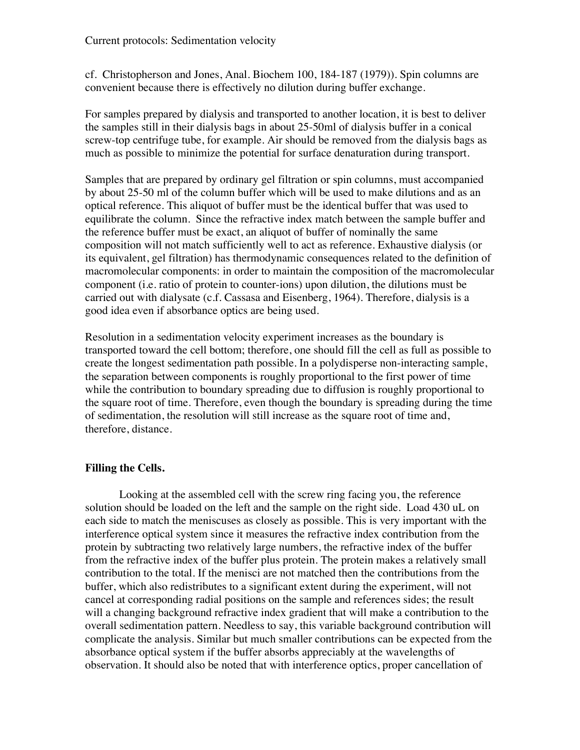cf. Christopherson and Jones, Anal. Biochem 100, 184-187 (1979)). Spin columns are convenient because there is effectively no dilution during buffer exchange.

For samples prepared by dialysis and transported to another location, it is best to deliver the samples still in their dialysis bags in about 25-50ml of dialysis buffer in a conical screw-top centrifuge tube, for example. Air should be removed from the dialysis bags as much as possible to minimize the potential for surface denaturation during transport.

Samples that are prepared by ordinary gel filtration or spin columns, must accompanied by about 25-50 ml of the column buffer which will be used to make dilutions and as an optical reference. This aliquot of buffer must be the identical buffer that was used to equilibrate the column. Since the refractive index match between the sample buffer and the reference buffer must be exact, an aliquot of buffer of nominally the same composition will not match sufficiently well to act as reference. Exhaustive dialysis (or its equivalent, gel filtration) has thermodynamic consequences related to the definition of macromolecular components: in order to maintain the composition of the macromolecular component (i.e. ratio of protein to counter-ions) upon dilution, the dilutions must be carried out with dialysate (c.f. Cassasa and Eisenberg, 1964). Therefore, dialysis is a good idea even if absorbance optics are being used.

Resolution in a sedimentation velocity experiment increases as the boundary is transported toward the cell bottom; therefore, one should fill the cell as full as possible to create the longest sedimentation path possible. In a polydisperse non-interacting sample, the separation between components is roughly proportional to the first power of time while the contribution to boundary spreading due to diffusion is roughly proportional to the square root of time. Therefore, even though the boundary is spreading during the time of sedimentation, the resolution will still increase as the square root of time and, therefore, distance.

## **Filling the Cells.**

Looking at the assembled cell with the screw ring facing you, the reference solution should be loaded on the left and the sample on the right side. Load 430 uL on each side to match the meniscuses as closely as possible. This is very important with the interference optical system since it measures the refractive index contribution from the protein by subtracting two relatively large numbers, the refractive index of the buffer from the refractive index of the buffer plus protein. The protein makes a relatively small contribution to the total. If the menisci are not matched then the contributions from the buffer, which also redistributes to a significant extent during the experiment, will not cancel at corresponding radial positions on the sample and references sides; the result will a changing background refractive index gradient that will make a contribution to the overall sedimentation pattern. Needless to say, this variable background contribution will complicate the analysis. Similar but much smaller contributions can be expected from the absorbance optical system if the buffer absorbs appreciably at the wavelengths of observation. It should also be noted that with interference optics, proper cancellation of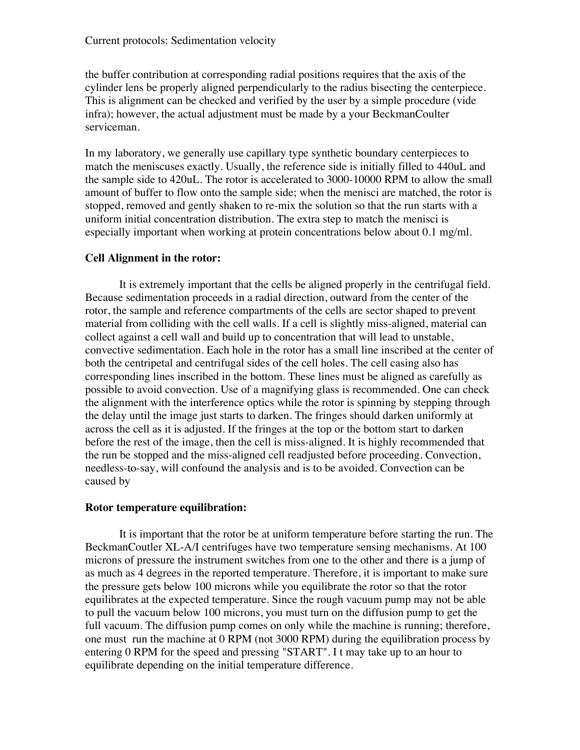the buffer contribution at corresponding radial positions requires that the axis of the cylinder lens be properly aligned perpendicularly to the radius bisecting the centerpiece. This is alignment can be checked and verified by the user by a simple procedure (vide infra); however, the actual adjustment must be made by a your BeckmanCoulter serviceman.

In my laboratory, we generally use capillary type synthetic boundary centerpieces to match the meniscuses exactly. Usually, the reference side is initially filled to 440uL and the sample side to 420uL. The rotor is accelerated to 3000-10000 RPM to allow the small amount of buffer to flow onto the sample side; when the menisci are matched, the rotor is stopped, removed and gently shaken to re-mix the solution so that the run starts with a uniform initial concentration distribution. The extra step to match the menisci is especially important when working at protein concentrations below about 0.1 mg/ml.

## **Cell Alignment in the rotor:**

It is extremely important that the cells be aligned properly in the centrifugal field. Because sedimentation proceeds in a radial direction, outward from the center of the rotor, the sample and reference compartments of the cells are sector shaped to prevent material from colliding with the cell walls. If a cell is slightly miss-aligned, material can collect against a cell wall and build up to concentration that will lead to unstable, convective sedimentation. Each hole in the rotor has a small line inscribed at the center of both the centripetal and centrifugal sides of the cell holes. The cell casing also has corresponding lines inscribed in the bottom. These lines must be aligned as carefully as possible to avoid convection. Use of a magnifying glass is recommended. One can check the alignment with the interference optics while the rotor is spinning by stepping through the delay until the image just starts to darken. The fringes should darken uniformly at across the cell as it is adjusted. If the fringes at the top or the bottom start to darken before the rest of the image, then the cell is miss-aligned. It is highly recommended that the run be stopped and the miss-aligned cell readjusted before proceeding. Convection, needless-to-say, will confound the analysis and is to be avoided. Convection can be caused by

## **Rotor temperature equilibration:**

It is important that the rotor be at uniform temperature before starting the run. The BeckmanCoutler XL-A/I centrifuges have two temperature sensing mechanisms. At 100 microns of pressure the instrument switches from one to the other and there is a jump of as much as 4 degrees in the reported temperature. Therefore, it is important to make sure the pressure gets below 100 microns while you equilibrate the rotor so that the rotor equilibrates at the expected temperature. Since the rough vacuum pump may not be able to pull the vacuum below 100 microns, you must turn on the diffusion pump to get the full vacuum. The diffusion pump comes on only while the machine is running; therefore, one must run the machine at 0 RPM (not 3000 RPM) during the equilibration process by entering 0 RPM for the speed and pressing "START". I t may take up to an hour to equilibrate depending on the initial temperature difference.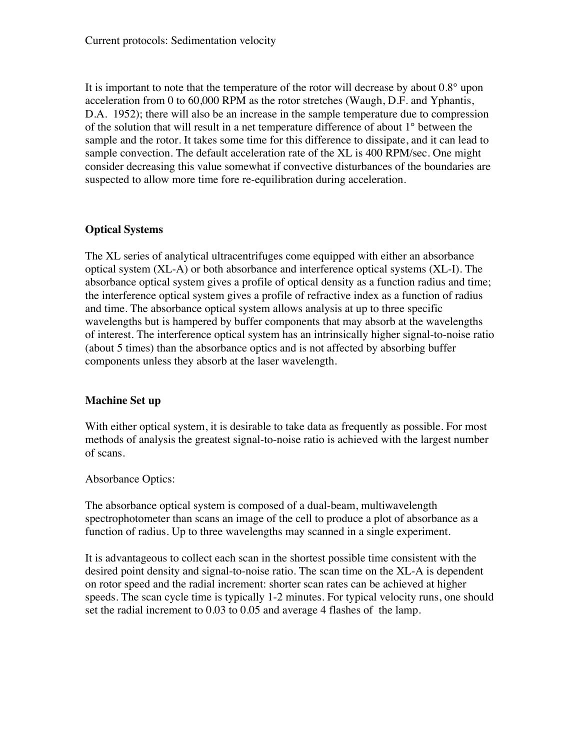It is important to note that the temperature of the rotor will decrease by about 0.8° upon acceleration from 0 to 60,000 RPM as the rotor stretches (Waugh, D.F. and Yphantis, D.A. 1952); there will also be an increase in the sample temperature due to compression of the solution that will result in a net temperature difference of about 1° between the sample and the rotor. It takes some time for this difference to dissipate, and it can lead to sample convection. The default acceleration rate of the XL is 400 RPM/sec. One might consider decreasing this value somewhat if convective disturbances of the boundaries are suspected to allow more time fore re-equilibration during acceleration.

# **Optical Systems**

The XL series of analytical ultracentrifuges come equipped with either an absorbance optical system (XL-A) or both absorbance and interference optical systems (XL-I). The absorbance optical system gives a profile of optical density as a function radius and time; the interference optical system gives a profile of refractive index as a function of radius and time. The absorbance optical system allows analysis at up to three specific wavelengths but is hampered by buffer components that may absorb at the wavelengths of interest. The interference optical system has an intrinsically higher signal-to-noise ratio (about 5 times) than the absorbance optics and is not affected by absorbing buffer components unless they absorb at the laser wavelength.

## **Machine Set up**

With either optical system, it is desirable to take data as frequently as possible. For most methods of analysis the greatest signal-to-noise ratio is achieved with the largest number of scans.

## Absorbance Optics:

The absorbance optical system is composed of a dual-beam, multiwavelength spectrophotometer than scans an image of the cell to produce a plot of absorbance as a function of radius. Up to three wavelengths may scanned in a single experiment.

It is advantageous to collect each scan in the shortest possible time consistent with the desired point density and signal-to-noise ratio. The scan time on the XL-A is dependent on rotor speed and the radial increment: shorter scan rates can be achieved at higher speeds. The scan cycle time is typically 1-2 minutes. For typical velocity runs, one should set the radial increment to 0.03 to 0.05 and average 4 flashes of the lamp.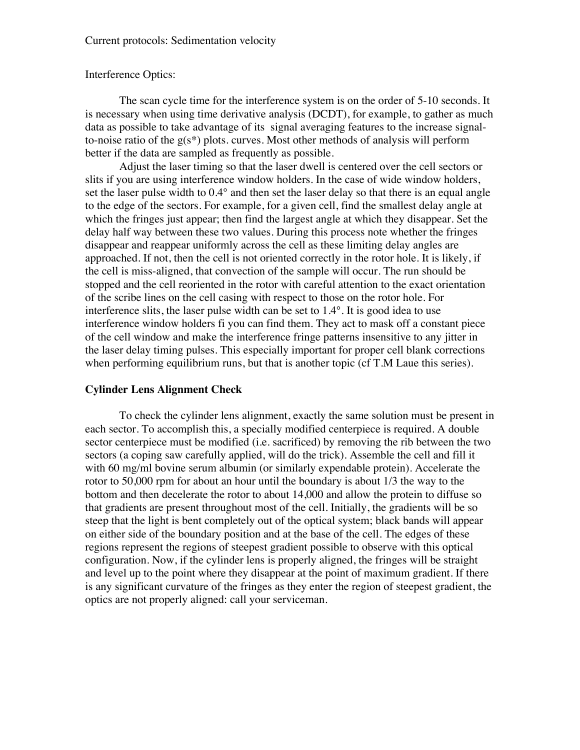#### Interference Optics:

The scan cycle time for the interference system is on the order of 5-10 seconds. It is necessary when using time derivative analysis (DCDT), for example, to gather as much data as possible to take advantage of its signal averaging features to the increase signalto-noise ratio of the  $g(s^*)$  plots. curves. Most other methods of analysis will perform better if the data are sampled as frequently as possible.

Adjust the laser timing so that the laser dwell is centered over the cell sectors or slits if you are using interference window holders. In the case of wide window holders, set the laser pulse width to  $0.4^{\circ}$  and then set the laser delay so that there is an equal angle to the edge of the sectors. For example, for a given cell, find the smallest delay angle at which the fringes just appear; then find the largest angle at which they disappear. Set the delay half way between these two values. During this process note whether the fringes disappear and reappear uniformly across the cell as these limiting delay angles are approached. If not, then the cell is not oriented correctly in the rotor hole. It is likely, if the cell is miss-aligned, that convection of the sample will occur. The run should be stopped and the cell reoriented in the rotor with careful attention to the exact orientation of the scribe lines on the cell casing with respect to those on the rotor hole. For interference slits, the laser pulse width can be set to 1.4°. It is good idea to use interference window holders fi you can find them. They act to mask off a constant piece of the cell window and make the interference fringe patterns insensitive to any jitter in the laser delay timing pulses. This especially important for proper cell blank corrections when performing equilibrium runs, but that is another topic (cf T.M Laue this series).

#### **Cylinder Lens Alignment Check**

To check the cylinder lens alignment, exactly the same solution must be present in each sector. To accomplish this, a specially modified centerpiece is required. A double sector centerpiece must be modified (i.e. sacrificed) by removing the rib between the two sectors (a coping saw carefully applied, will do the trick). Assemble the cell and fill it with 60 mg/ml bovine serum albumin (or similarly expendable protein). Accelerate the rotor to 50,000 rpm for about an hour until the boundary is about 1/3 the way to the bottom and then decelerate the rotor to about 14,000 and allow the protein to diffuse so that gradients are present throughout most of the cell. Initially, the gradients will be so steep that the light is bent completely out of the optical system; black bands will appear on either side of the boundary position and at the base of the cell. The edges of these regions represent the regions of steepest gradient possible to observe with this optical configuration. Now, if the cylinder lens is properly aligned, the fringes will be straight and level up to the point where they disappear at the point of maximum gradient. If there is any significant curvature of the fringes as they enter the region of steepest gradient, the optics are not properly aligned: call your serviceman.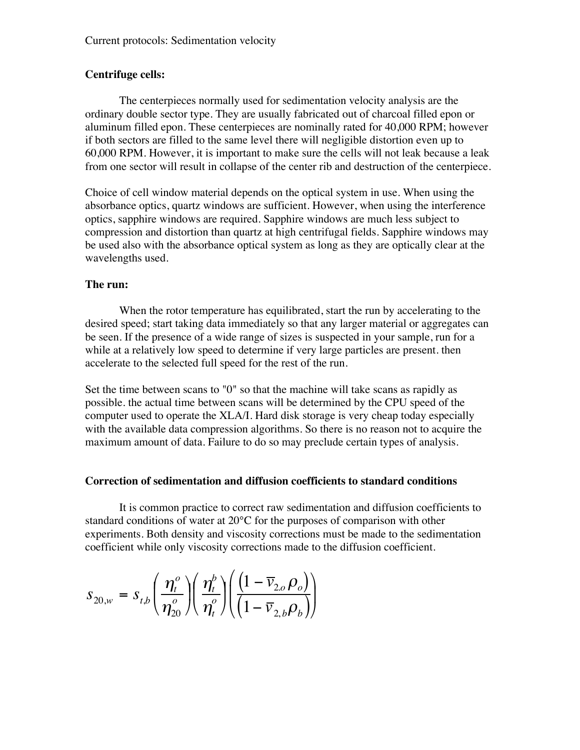## **Centrifuge cells:**

The centerpieces normally used for sedimentation velocity analysis are the ordinary double sector type. They are usually fabricated out of charcoal filled epon or aluminum filled epon. These centerpieces are nominally rated for 40,000 RPM; however if both sectors are filled to the same level there will negligible distortion even up to 60,000 RPM. However, it is important to make sure the cells will not leak because a leak from one sector will result in collapse of the center rib and destruction of the centerpiece.

Choice of cell window material depends on the optical system in use. When using the absorbance optics, quartz windows are sufficient. However, when using the interference optics, sapphire windows are required. Sapphire windows are much less subject to compression and distortion than quartz at high centrifugal fields. Sapphire windows may be used also with the absorbance optical system as long as they are optically clear at the wavelengths used.

## **The run:**

When the rotor temperature has equilibrated, start the run by accelerating to the desired speed; start taking data immediately so that any larger material or aggregates can be seen. If the presence of a wide range of sizes is suspected in your sample, run for a while at a relatively low speed to determine if very large particles are present. then accelerate to the selected full speed for the rest of the run.

Set the time between scans to "0" so that the machine will take scans as rapidly as possible. the actual time between scans will be determined by the CPU speed of the computer used to operate the XLA/I. Hard disk storage is very cheap today especially with the available data compression algorithms. So there is no reason not to acquire the maximum amount of data. Failure to do so may preclude certain types of analysis.

## **Correction of sedimentation and diffusion coefficients to standard conditions**

It is common practice to correct raw sedimentation and diffusion coefficients to standard conditions of water at 20°C for the purposes of comparison with other experiments. Both density and viscosity corrections must be made to the sedimentation coefficient while only viscosity corrections made to the diffusion coefficient.

$$
s_{20,w} = s_{t,b} \left( \frac{\eta_t^o}{\eta_{20}^o} \right) \left( \frac{\eta_t^b}{\eta_t^o} \right) \left( \frac{\left(1 - \overline{v}_{2,o} \rho_o \right)}{\left(1 - \overline{v}_{2,b} \rho_b \right)} \right)
$$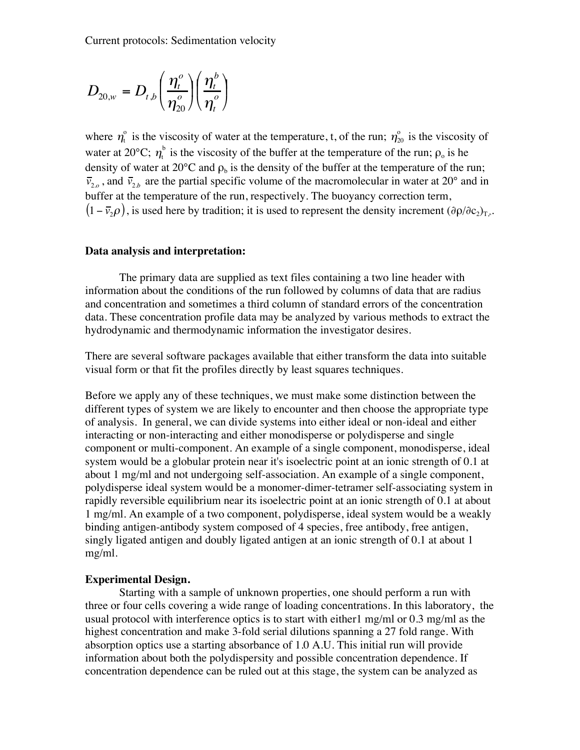$$
D_{20,w} = D_{t,b} \left( \frac{\eta_t^o}{\eta_{20}^o} \right) \left( \frac{\eta_t^b}{\eta_t^o} \right)
$$

where  $\eta_i^{\circ}$  is the viscosity of water at the temperature, t, of the run;  $\eta_{20}^{\circ}$  is the viscosity of water at 20°C;  $\eta_t^b$  is the viscosity of the buffer at the temperature of the run;  $\rho_o$  is he density of water at 20 $\degree$ C and  $\rho_b$  is the density of the buffer at the temperature of the run;  $\bar{v}_{2,o}$ , and  $\bar{v}_{2,b}$  are the partial specific volume of the macromolecular in water at 20° and in buffer at the temperature of the run, respectively. The buoyancy correction term,  $(1 - \overline{v}_2 \rho)$ , is used here by tradition; it is used to represent the density increment  $(\partial \rho / \partial c_2)_{T,\mu}$ .

#### **Data analysis and interpretation:**

The primary data are supplied as text files containing a two line header with information about the conditions of the run followed by columns of data that are radius and concentration and sometimes a third column of standard errors of the concentration data. These concentration profile data may be analyzed by various methods to extract the hydrodynamic and thermodynamic information the investigator desires.

There are several software packages available that either transform the data into suitable visual form or that fit the profiles directly by least squares techniques.

Before we apply any of these techniques, we must make some distinction between the different types of system we are likely to encounter and then choose the appropriate type of analysis. In general, we can divide systems into either ideal or non-ideal and either interacting or non-interacting and either monodisperse or polydisperse and single component or multi-component. An example of a single component, monodisperse, ideal system would be a globular protein near it's isoelectric point at an ionic strength of 0.1 at about 1 mg/ml and not undergoing self-association. An example of a single component, polydisperse ideal system would be a monomer-dimer-tetramer self-associating system in rapidly reversible equilibrium near its isoelectric point at an ionic strength of 0.1 at about 1 mg/ml. An example of a two component, polydisperse, ideal system would be a weakly binding antigen-antibody system composed of 4 species, free antibody, free antigen, singly ligated antigen and doubly ligated antigen at an ionic strength of 0.1 at about 1 mg/ml.

#### **Experimental Design.**

Starting with a sample of unknown properties, one should perform a run with three or four cells covering a wide range of loading concentrations. In this laboratory, the usual protocol with interference optics is to start with either1 mg/ml or 0.3 mg/ml as the highest concentration and make 3-fold serial dilutions spanning a 27 fold range. With absorption optics use a starting absorbance of 1.0 A.U. This initial run will provide information about both the polydispersity and possible concentration dependence. If concentration dependence can be ruled out at this stage, the system can be analyzed as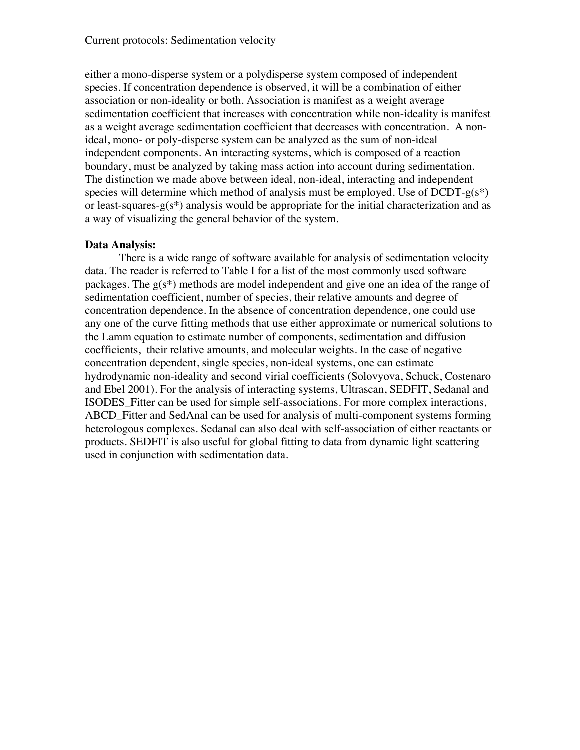either a mono-disperse system or a polydisperse system composed of independent species. If concentration dependence is observed, it will be a combination of either association or non-ideality or both. Association is manifest as a weight average sedimentation coefficient that increases with concentration while non-ideality is manifest as a weight average sedimentation coefficient that decreases with concentration. A nonideal, mono- or poly-disperse system can be analyzed as the sum of non-ideal independent components. An interacting systems, which is composed of a reaction boundary, must be analyzed by taking mass action into account during sedimentation. The distinction we made above between ideal, non-ideal, interacting and independent species will determine which method of analysis must be employed. Use of  $DCDT-g(s^*)$ or least-squares-g( $s^*$ ) analysis would be appropriate for the initial characterization and as a way of visualizing the general behavior of the system.

## **Data Analysis:**

There is a wide range of software available for analysis of sedimentation velocity data. The reader is referred to Table I for a list of the most commonly used software packages. The g(s\*) methods are model independent and give one an idea of the range of sedimentation coefficient, number of species, their relative amounts and degree of concentration dependence. In the absence of concentration dependence, one could use any one of the curve fitting methods that use either approximate or numerical solutions to the Lamm equation to estimate number of components, sedimentation and diffusion coefficients, their relative amounts, and molecular weights. In the case of negative concentration dependent, single species, non-ideal systems, one can estimate hydrodynamic non-ideality and second virial coefficients (Solovyova, Schuck, Costenaro and Ebel 2001). For the analysis of interacting systems, Ultrascan, SEDFIT, Sedanal and ISODES\_Fitter can be used for simple self-associations. For more complex interactions, ABCD\_Fitter and SedAnal can be used for analysis of multi-component systems forming heterologous complexes. Sedanal can also deal with self-association of either reactants or products. SEDFIT is also useful for global fitting to data from dynamic light scattering used in conjunction with sedimentation data.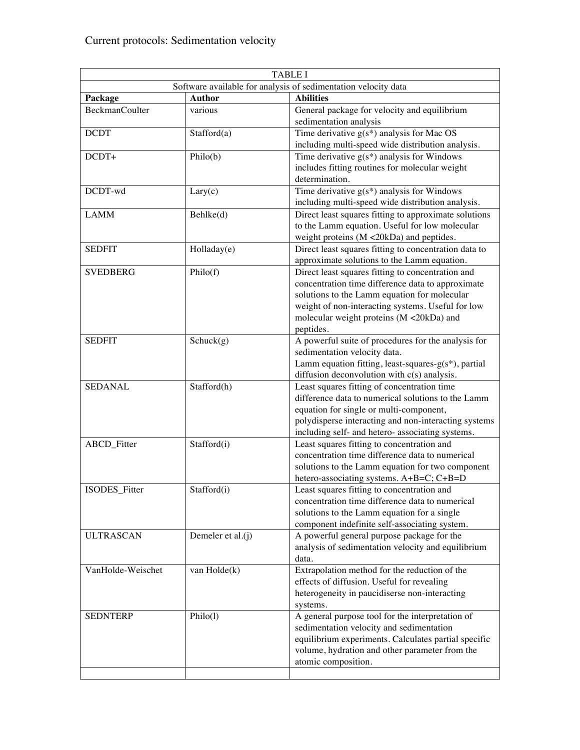| <b>TABLE I</b>        |                   |                                                                                                |
|-----------------------|-------------------|------------------------------------------------------------------------------------------------|
|                       |                   | Software available for analysis of sedimentation velocity data                                 |
| Package               | <b>Author</b>     | <b>Abilities</b>                                                                               |
| <b>BeckmanCoulter</b> | various           | General package for velocity and equilibrium<br>sedimentation analysis                         |
| <b>DCDT</b>           | Stafford(a)       | Time derivative $g(s^*)$ analysis for Mac OS                                                   |
|                       |                   | including multi-speed wide distribution analysis.                                              |
| $DCDT+$               | Philo(b)          | Time derivative $g(s^*)$ analysis for Windows                                                  |
|                       |                   | includes fitting routines for molecular weight                                                 |
|                       |                   | determination.                                                                                 |
| DCDT-wd               | Lary(c)           | Time derivative $g(s^*)$ analysis for Windows                                                  |
|                       |                   | including multi-speed wide distribution analysis.                                              |
| <b>LAMM</b>           | Behlke(d)         | Direct least squares fitting to approximate solutions                                          |
|                       |                   | to the Lamm equation. Useful for low molecular                                                 |
|                       |                   | weight proteins (M <20kDa) and peptides.                                                       |
| <b>SEDFIT</b>         | Holladay(e)       | Direct least squares fitting to concentration data to                                          |
|                       |                   | approximate solutions to the Lamm equation.                                                    |
| <b>SVEDBERG</b>       | Philo(f)          | Direct least squares fitting to concentration and                                              |
|                       |                   | concentration time difference data to approximate                                              |
|                       |                   | solutions to the Lamm equation for molecular                                                   |
|                       |                   | weight of non-interacting systems. Useful for low                                              |
|                       |                   | molecular weight proteins (M <20kDa) and                                                       |
|                       |                   | peptides.                                                                                      |
| <b>SEDFIT</b>         | Schuck(g)         | A powerful suite of procedures for the analysis for                                            |
|                       |                   | sedimentation velocity data.                                                                   |
|                       |                   | Lamm equation fitting, least-squares- $g(s^*)$ , partial                                       |
|                       |                   | diffusion deconvolution with c(s) analysis.                                                    |
| <b>SEDANAL</b>        | Stafford(h)       | Least squares fitting of concentration time                                                    |
|                       |                   | difference data to numerical solutions to the Lamm                                             |
|                       |                   | equation for single or multi-component,                                                        |
|                       |                   | polydisperse interacting and non-interacting systems                                           |
| ABCD_Fitter           | Stafford(i)       | including self- and hetero- associating systems.<br>Least squares fitting to concentration and |
|                       |                   | concentration time difference data to numerical                                                |
|                       |                   | solutions to the Lamm equation for two component                                               |
|                       |                   | hetero-associating systems. A+B=C; C+B=D                                                       |
| <b>ISODES</b> Fitter  | Stafford(i)       | Least squares fitting to concentration and                                                     |
|                       |                   | concentration time difference data to numerical                                                |
|                       |                   | solutions to the Lamm equation for a single                                                    |
|                       |                   | component indefinite self-associating system.                                                  |
| <b>ULTRASCAN</b>      | Demeler et al.(j) | A powerful general purpose package for the                                                     |
|                       |                   | analysis of sedimentation velocity and equilibrium                                             |
|                       |                   | data.                                                                                          |
| VanHolde-Weischet     | van Holde(k)      | Extrapolation method for the reduction of the                                                  |
|                       |                   | effects of diffusion. Useful for revealing                                                     |
|                       |                   | heterogeneity in paucidiserse non-interacting                                                  |
|                       |                   | systems.                                                                                       |
| <b>SEDNTERP</b>       | Philo(1)          | A general purpose tool for the interpretation of                                               |
|                       |                   | sedimentation velocity and sedimentation                                                       |
|                       |                   | equilibrium experiments. Calculates partial specific                                           |
|                       |                   | volume, hydration and other parameter from the                                                 |
|                       |                   | atomic composition.                                                                            |
|                       |                   |                                                                                                |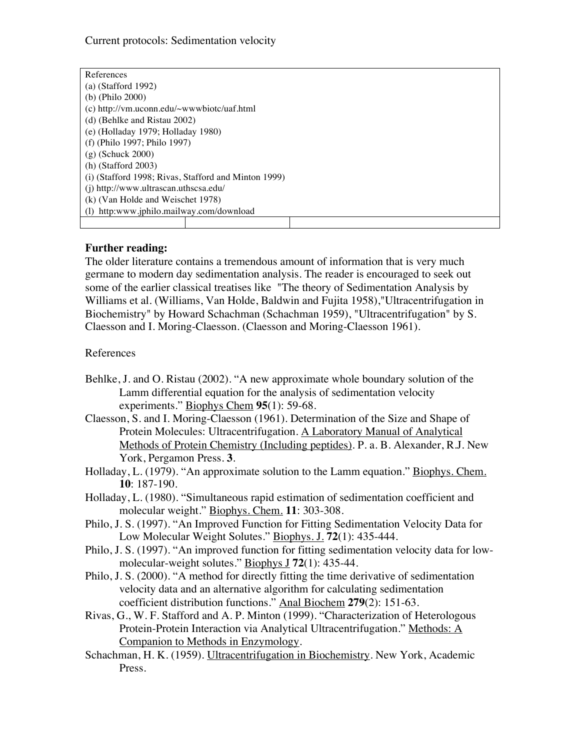| References                                           |  |  |
|------------------------------------------------------|--|--|
| $(a)$ (Stafford 1992)                                |  |  |
| (b) $(Phi 2000)$                                     |  |  |
| (c) http://vm.uconn.edu/ $\sim$ wwwbiotc/uaf.html    |  |  |
| (d) (Behlke and Ristau 2002)                         |  |  |
| (e) (Holladay 1979; Holladay 1980)                   |  |  |
| (f) (Philo 1997; Philo 1997)                         |  |  |
| $(g)$ (Schuck 2000)                                  |  |  |
| $(h)$ (Stafford 2003)                                |  |  |
| (i) (Stafford 1998; Rivas, Stafford and Minton 1999) |  |  |
| (j) http://www.ultrascan.uthscsa.edu/                |  |  |
| (k) (Van Holde and Weischet 1978)                    |  |  |
| (l) http:www.jphilo.mailway.com/download             |  |  |
|                                                      |  |  |

## **Further reading:**

The older literature contains a tremendous amount of information that is very much germane to modern day sedimentation analysis. The reader is encouraged to seek out some of the earlier classical treatises like "The theory of Sedimentation Analysis by Williams et al. (Williams, Van Holde, Baldwin and Fujita 1958),"Ultracentrifugation in Biochemistry" by Howard Schachman (Schachman 1959), "Ultracentrifugation" by S. Claesson and I. Moring-Claesson. (Claesson and Moring-Claesson 1961).

References

- Behlke, J. and O. Ristau (2002). "A new approximate whole boundary solution of the Lamm differential equation for the analysis of sedimentation velocity experiments." Biophys Chem **95**(1): 59-68.
- Claesson, S. and I. Moring-Claesson (1961). Determination of the Size and Shape of Protein Molecules: Ultracentrifugation. A Laboratory Manual of Analytical Methods of Protein Chemistry (Including peptides). P. a. B. Alexander, R.J. New York, Pergamon Press. **3**.
- Holladay, L. (1979). "An approximate solution to the Lamm equation." Biophys. Chem. **10**: 187-190.
- Holladay, L. (1980). "Simultaneous rapid estimation of sedimentation coefficient and molecular weight." Biophys. Chem. **11**: 303-308.
- Philo, J. S. (1997). "An Improved Function for Fitting Sedimentation Velocity Data for Low Molecular Weight Solutes." Biophys. J. **72**(1): 435-444.
- Philo, J. S. (1997). "An improved function for fitting sedimentation velocity data for lowmolecular-weight solutes." Biophys J **72**(1): 435-44.
- Philo, J. S. (2000). "A method for directly fitting the time derivative of sedimentation velocity data and an alternative algorithm for calculating sedimentation coefficient distribution functions." Anal Biochem **279**(2): 151-63.
- Rivas, G., W. F. Stafford and A. P. Minton (1999). "Characterization of Heterologous Protein-Protein Interaction via Analytical Ultracentrifugation." Methods: A Companion to Methods in Enzymology.
- Schachman, H. K. (1959). Ultracentrifugation in Biochemistry. New York, Academic Press.